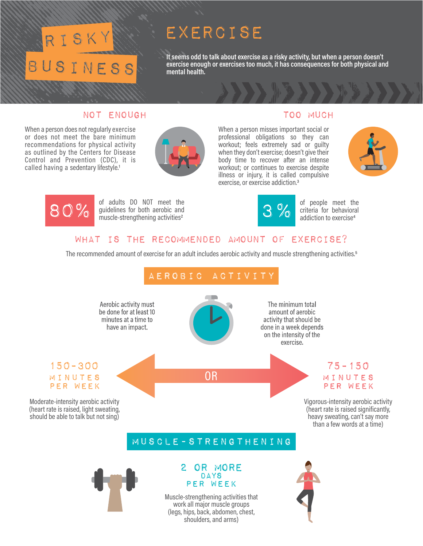# $S_{\rm K}$ BUSINESS

## exercise

**It seems odd to talk about exercise as a risky activity, but when a person doesn't exercise enough or exercises too much, it has consequences for both physical and mental health.**

### Not Enough Too Much

When a person does not regularly exercise or does not meet the bare minimum recommendations for physical activity as outlined by the Centers for Disease Control and Prevention (CDC), it is called having a sedentary lifestyle.<sup>1</sup>



When a person misses important social or professional obligations so they can workout; feels extremely sad or guilty when they don't exercise; doesn't give their body time to recover after an intense workout; or continues to exercise despite illness or injury, it is called compulsive exercise, or exercise addiction.3





of adults DO NOT meet the guidelines for both aerobic and muscle-strengthening activities<sup>2</sup>



of people meet the criteria for behavioral addiction to exercise<sup>4</sup>

### what is the recommended amount of exercise?

The recommended amount of exercise for an adult includes aerobic activity and muscle strengthening activities.5



Muscle-strengthening activities that work all major muscle groups (legs, hips, back, abdomen, chest, shoulders, and arms)